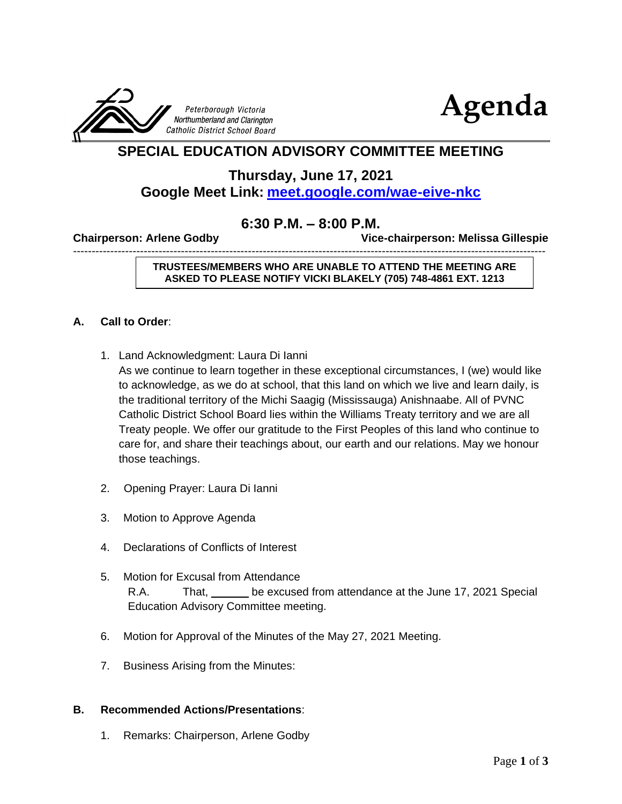



# **SPECIAL EDUCATION ADVISORY COMMITTEE MEETING**

**Thursday, June 17, 2021**

## **Google Meet Link: <meet.google.com/wae-eive-nkc>**

## **6:30 P.M. – 8:00 P.M.**

-------------------------------------------------------------------------------------------------------------------------------

**Chairperson: Arlene Godby Vice-chairperson: Melissa Gillespie** 

**TRUSTEES/MEMBERS WHO ARE UNABLE TO ATTEND THE MEETING ARE ASKED TO PLEASE NOTIFY VICKI BLAKELY (705) 748-4861 EXT. 1213**

### **A. Call to Order**:

1. Land Acknowledgment: Laura Di Ianni

As we continue to learn together in these exceptional circumstances, I (we) would like to acknowledge, as we do at school, that this land on which we live and learn daily, is the traditional territory of the Michi Saagig (Mississauga) Anishnaabe. All of PVNC Catholic District School Board lies within the Williams Treaty territory and we are all Treaty people. We offer our gratitude to the First Peoples of this land who continue to care for, and share their teachings about, our earth and our relations. May we honour those teachings.

- 2. Opening Prayer: Laura Di Ianni
- 3. Motion to Approve Agenda
- 4. Declarations of Conflicts of Interest
- 5. Motion for Excusal from Attendance R.A. That, be excused from attendance at the June 17, 2021 Special Education Advisory Committee meeting.
- 6. Motion for Approval of the Minutes of the May 27, 2021 Meeting.
- 7. Business Arising from the Minutes:

### **B. Recommended Actions/Presentations**:

1. Remarks: Chairperson, Arlene Godby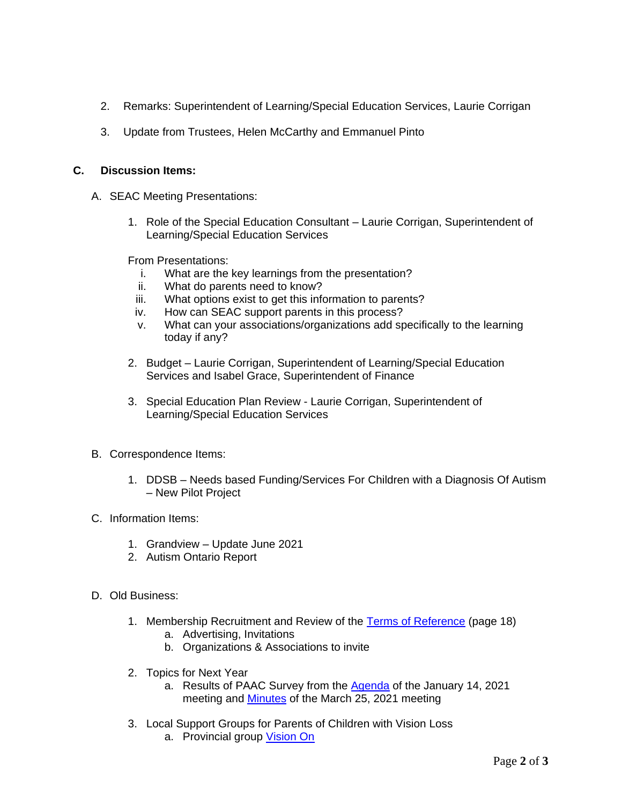- 2. Remarks: Superintendent of Learning/Special Education Services, Laurie Corrigan
- 3. Update from Trustees, Helen McCarthy and Emmanuel Pinto

#### **C. Discussion Items:**

- A. SEAC Meeting Presentations:
	- 1. Role of the Special Education Consultant Laurie Corrigan, Superintendent of Learning/Special Education Services

From Presentations:

- i. What are the key learnings from the presentation?
- ii. What do parents need to know?
- iii. What options exist to get this information to parents?
- iv. How can SEAC support parents in this process?
- v. What can your associations/organizations add specifically to the learning today if any?
- 2. Budget Laurie Corrigan, Superintendent of Learning/Special Education Services and Isabel Grace, Superintendent of Finance
- 3. Special Education Plan Review Laurie Corrigan, Superintendent of Learning/Special Education Services
- B. Correspondence Items:
	- 1. DDSB Needs based Funding/Services For Children with a Diagnosis Of Autism – New Pilot Project
- C. Information Items:
	- 1. Grandview Update June 2021
	- 2. Autism Ontario Report
- D. Old Business:
	- 1. Membership Recruitment and Review of the [Terms of Reference](https://www.pvnccdsb.on.ca/wp-content/uploads/2018/10/Committee-Terms-of-Reference-Nov-27-2018-FINAL.pdf) (page 18)
		- a. Advertising, Invitations
		- b. Organizations & Associations to invite
	- 2. Topics for Next Year
		- a. Results of PAAC Survey from the **Agenda** of the January 14, 2021 meeting and [Minutes](https://www.pvnccdsb.on.ca/wp-content/uploads/2018/08/SEAC-Minutes-March-25-2021.pdf) of the March 25, 2021 meeting
	- 3. Local Support Groups for Parents of Children with Vision Loss
		- a. Provincial group [Vision On](https://viewson.ca/about-us/)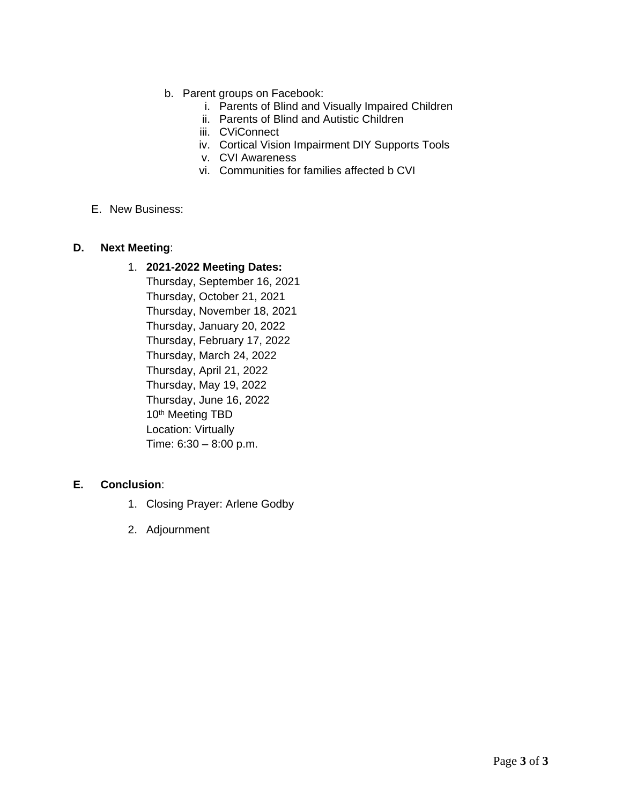- b. Parent groups on Facebook:
	- i. Parents of Blind and Visually Impaired Children
	- ii. Parents of Blind and Autistic Children
	- iii. CViConnect
	- iv. Cortical Vision Impairment DIY Supports Tools
	- v. CVI Awareness
	- vi. Communities for families affected b CVI
- E. New Business:

#### **D. Next Meeting**:

#### 1. **2021-2022 Meeting Dates:**

Thursday, September 16, 2021 Thursday, October 21, 2021 Thursday, November 18, 2021 Thursday, January 20, 2022 Thursday, February 17, 2022 Thursday, March 24, 2022 Thursday, April 21, 2022 Thursday, May 19, 2022 Thursday, June 16, 2022 10<sup>th</sup> Meeting TBD Location: Virtually Time: 6:30 – 8:00 p.m.

#### **E. Conclusion**:

- 1. Closing Prayer: Arlene Godby
- 2. Adjournment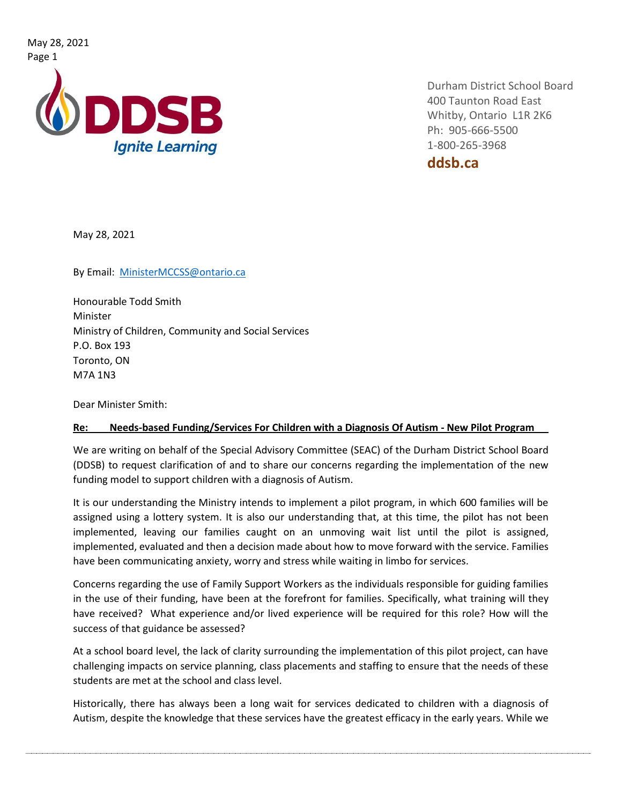May 28, 2021 Page 1



Durham District School Board 400 Taunton Road East Whitby, Ontario L1R 2K6 Ph: 905-666-5500 1-800-265-3968

**ddsb.ca**

May 28, 2021

By Email: [MinisterMCCSS@ontario.ca](mailto:MinisterMCCSS@ontario.ca)

Honourable Todd Smith Minister Ministry of Children, Community and Social Services P.O. Box 193 Toronto, ON M7A 1N3

Dear Minister Smith:

#### **Re: Needs-based Funding/Services For Children with a Diagnosis Of Autism - New Pilot Program**

We are writing on behalf of the Special Advisory Committee (SEAC) of the Durham District School Board (DDSB) to request clarification of and to share our concerns regarding the implementation of the new funding model to support children with a diagnosis of Autism.

It is our understanding the Ministry intends to implement a pilot program, in which 600 families will be assigned using a lottery system. It is also our understanding that, at this time, the pilot has not been implemented, leaving our families caught on an unmoving wait list until the pilot is assigned, implemented, evaluated and then a decision made about how to move forward with the service. Families have been communicating anxiety, worry and stress while waiting in limbo for services.

Concerns regarding the use of Family Support Workers as the individuals responsible for guiding families in the use of their funding, have been at the forefront for families. Specifically, what training will they have received? What experience and/or lived experience will be required for this role? How will the success of that guidance be assessed?

At a school board level, the lack of clarity surrounding the implementation of this pilot project, can have challenging impacts on service planning, class placements and staffing to ensure that the needs of these students are met at the school and class level.

Historically, there has always been a long wait for services dedicated to children with a diagnosis of Autism, despite the knowledge that these services have the greatest efficacy in the early years. While we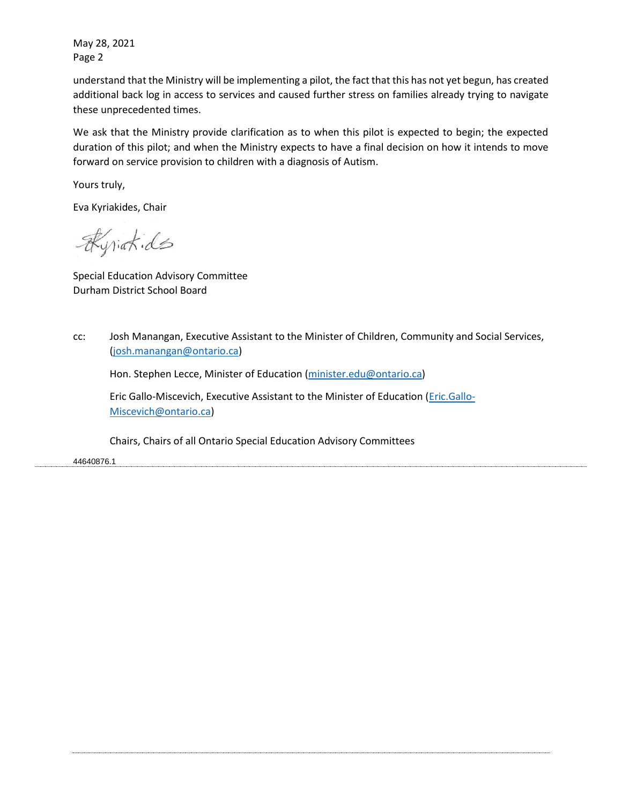May 28, 2021 Page 2

understand that the Ministry will be implementing a pilot, the fact that this has not yet begun, has created additional back log in access to services and caused further stress on families already trying to navigate these unprecedented times.

We ask that the Ministry provide clarification as to when this pilot is expected to begin; the expected duration of this pilot; and when the Ministry expects to have a final decision on how it intends to move forward on service provision to children with a diagnosis of Autism.

Yours truly,

Eva Kyriakides, Chair

Kyrighids

Special Education Advisory Committee Durham District School Board

cc: Josh Manangan, Executive Assistant to the Minister of Children, Community and Social Services, [\(josh.manangan@ontario.ca\)](mailto:josh.manangan@ontario.ca)

Hon. Stephen Lecce, Minister of Education [\(minister.edu@ontario.ca\)](mailto:minister.edu@ontario.ca)

Eric Gallo-Miscevich, Executive Assistant to the Minister of Education [\(Eric.Gallo-](mailto:Eric.Gallo-Miscevich@ontario.ca)[Miscevich@ontario.ca\)](mailto:Eric.Gallo-Miscevich@ontario.ca)

Chairs, Chairs of all Ontario Special Education Advisory Committees

44640876.1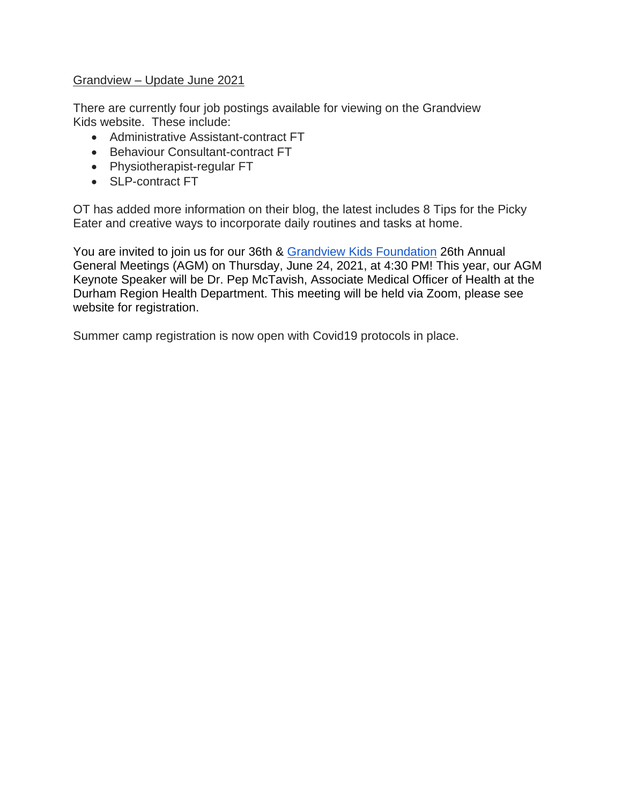## Grandview – Update June 2021

There are currently four job postings available for viewing on the Grandview Kids website. These include:

- Administrative Assistant-contract FT
- Behaviour Consultant-contract FT
- Physiotherapist-regular FT
- SLP-contract FT

OT has added more information on their blog, the latest includes 8 Tips for the Picky Eater and creative ways to incorporate daily routines and tasks at home.

You are invited to join us for our 36th & Grandview Kids [Foundation](https://www.facebook.com/grandviewkidsfoundation/?__cft__%5b0%5d=AZWdTXLFfS16xTgYjb47TlosDBkfPhoqZQvec1EoNkhuHFlGG2fgUYyTRARYtpC2d90ckHovCezk-VnOVgg-quOiMWxvqoLxJ0lIv7PkMb2UK1wSmjQtDs5C6huuiuKXkq8GFBwWTnpHj3Ej3atX1yl1hmcsslkubOUCFnQ-q8RJkg&__tn__=kK-R) 26th Annual General Meetings (AGM) on Thursday, June 24, 2021, at 4:30 PM! This year, our AGM Keynote Speaker will be Dr. Pep McTavish, Associate Medical Officer of Health at the Durham Region Health Department. This meeting will be held via Zoom, please see website for registration.

Summer camp registration is now open with Covid19 protocols in place.